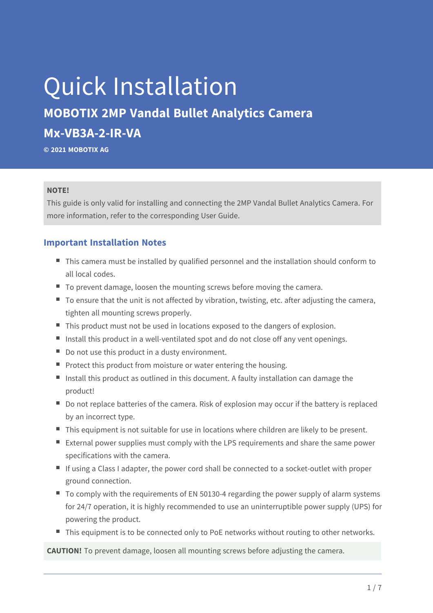# Quick Installation

## **MOBOTIX 2MP Vandal Bullet Analytics Camera Mx-VB3A-2-IR-VA**

**© 2021 MOBOTIX AG**

#### **NOTE!**

This guide is only valid for installing and connecting the 2MP Vandal Bullet Analytics Camera. For more information, refer to the corresponding User Guide.

#### **Important Installation Notes**

- $\blacksquare$  This camera must be installed by qualified personnel and the installation should conform to all local codes.
- To prevent damage, loosen the mounting screws before moving the camera.
- $\blacksquare$  To ensure that the unit is not affected by vibration, twisting, etc. after adjusting the camera, tighten all mounting screws properly.
- This product must not be used in locations exposed to the dangers of explosion.
- Install this product in a well-ventilated spot and do not close off any vent openings.
- $\blacksquare$  Do not use this product in a dusty environment.
- Protect this product from moisture or water entering the housing.
- Install this product as outlined in this document. A faulty installation can damage the product!
- Do not replace batteries of the camera. Risk of explosion may occur if the battery is replaced by an incorrect type.
- $\blacksquare$  This equipment is not suitable for use in locations where children are likely to be present.
- External power supplies must comply with the LPS requirements and share the same power specifications with the camera.
- $\blacksquare$  If using a Class I adapter, the power cord shall be connected to a socket-outlet with proper ground connection.
- $\blacksquare$  To comply with the requirements of EN 50130-4 regarding the power supply of alarm systems for 24/7 operation, it is highly recommended to use an uninterruptible power supply (UPS) for powering the product.
- This equipment is to be connected only to PoE networks without routing to other networks.

**CAUTION!** To prevent damage, loosen all mounting screws before adjusting the camera.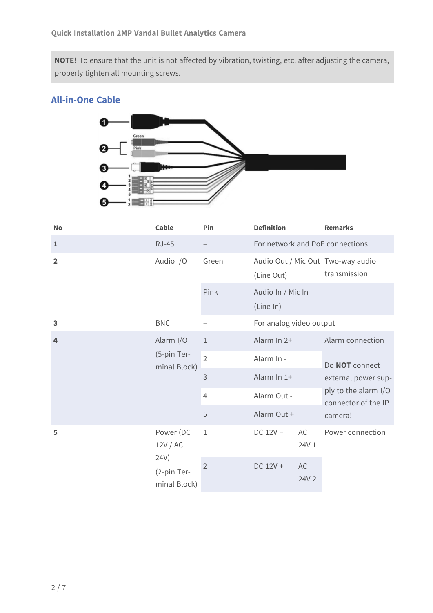**NOTE!** To ensure that the unit is not affected by vibration, twisting, etc. after adjusting the camera, properly tighten all mounting screws.

#### **All-in-One Cable**



| <b>No</b>      | Cable                                    | Pin            | <b>Definition</b>               |                         | <b>Remarks</b>                                            |  |
|----------------|------------------------------------------|----------------|---------------------------------|-------------------------|-----------------------------------------------------------|--|
| $\mathbf{1}$   | $RJ-45$                                  |                | For network and PoE connections |                         |                                                           |  |
| $\overline{2}$ | Audio I/O                                | Green          | (Line Out)                      |                         | Audio Out / Mic Out Two-way audio<br>transmission         |  |
|                |                                          | Pink           | Audio In / Mic In<br>(Line In)  |                         |                                                           |  |
| 3              | <b>BNC</b>                               |                |                                 | For analog video output |                                                           |  |
| $\overline{4}$ | Alarm I/O<br>(5-pin Ter-<br>minal Block) | $\mathbf{1}$   | Alarm In 2+                     |                         | Alarm connection<br>Do NOT connect<br>external power sup- |  |
|                |                                          | $\overline{2}$ | Alarm In -                      |                         |                                                           |  |
|                |                                          | 3              | Alarm In 1+                     |                         |                                                           |  |
|                |                                          | $\overline{4}$ | Alarm Out -                     |                         | ply to the alarm I/O<br>connector of the IP               |  |
|                |                                          | 5              | Alarm Out +                     |                         | camera!                                                   |  |
| 5              | Power (DC<br>12V / AC                    | $\mathbf 1$    | $DC 12V -$<br>AC<br>24V 1       | Power connection        |                                                           |  |
|                | 24V)<br>(2-pin Ter-<br>minal Block)      | $\overline{2}$ | DC 12V +                        | AC<br>24V 2             |                                                           |  |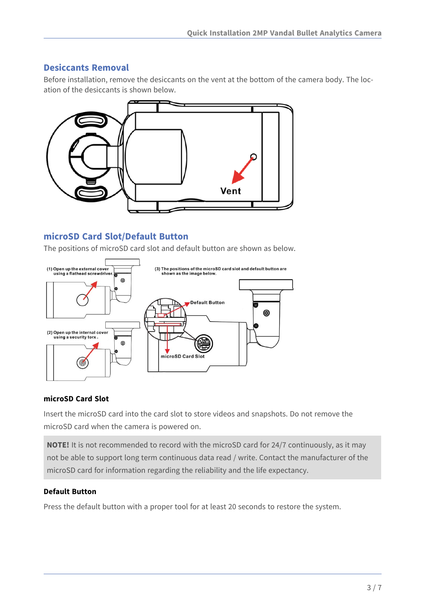#### **Desiccants Removal**

Before installation, remove the desiccants on the vent at the bottom of the camera body. The location of the desiccants is shown below.



#### **microSD Card Slot/Default Button**

The positions of microSD card slot and default button are shown as below.



#### **microSD Card Slot**

Insert the microSD card into the card slot to store videos and snapshots. Do not remove the microSD card when the camera is powered on.

**NOTE!** It is not recommended to record with the microSD card for 24/7 continuously, as it may not be able to support long term continuous data read / write. Contact the manufacturer of the microSD card for information regarding the reliability and the life expectancy.

#### **Default Button**

Press the default button with a proper tool for at least 20 seconds to restore the system.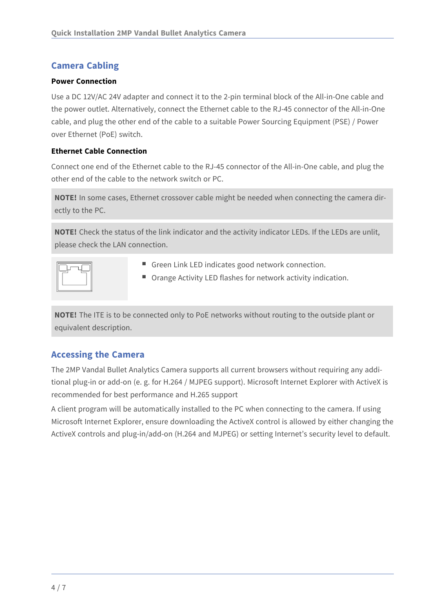### **Camera Cabling**

#### **Power Connection**

Use a DC 12V/AC 24V adapter and connect it to the 2-pin terminal block of the All-in-One cable and the power outlet. Alternatively, connect the Ethernet cable to the RJ-45 connector of the All-in-One cable, and plug the other end of the cable to a suitable Power Sourcing Equipment (PSE) / Power over Ethernet (PoE) switch.

#### **Ethernet Cable Connection**

Connect one end of the Ethernet cable to the RJ-45 connector of the All-in-One cable, and plug the other end of the cable to the network switch or PC.

**NOTE!** In some cases, Ethernet crossover cable might be needed when connecting the camera directly to the PC.

**NOTE!** Check the status of the link indicator and the activity indicator LEDs. If the LEDs are unlit, please check the LAN connection.

|--|

- Green Link LED indicates good network connection.
- Orange Activity LED flashes for network activity indication.

**NOTE!** The ITE is to be connected only to PoE networks without routing to the outside plant or equivalent description.

#### **Accessing the Camera**

The 2MP Vandal Bullet Analytics Camera supports all current browsers without requiring any additional plug-in or add-on (e. g. for H.264 / MJPEG support). Microsoft Internet Explorer with ActiveX is recommended for best performance and H.265 support

A client program will be automatically installed to the PC when connecting to the camera. If using Microsoft Internet Explorer, ensure downloading the ActiveX control is allowed by either changing the ActiveX controls and plug-in/add-on (H.264 and MJPEG) or setting Internet's security level to default.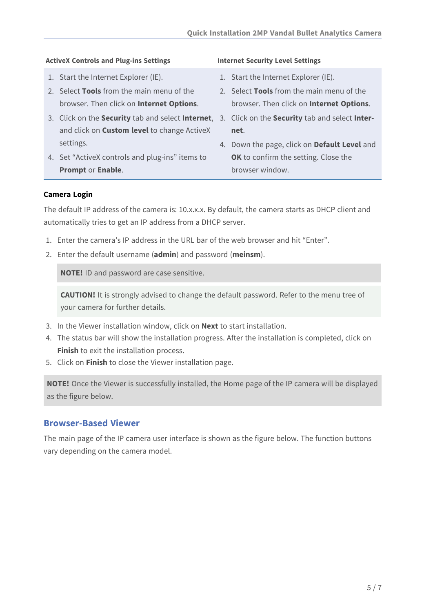#### **ActiveX Controls and Plug-ins Settings Internet Security Level Settings**

- 1. Start the Internet Explorer (IE).
- 2. Select **Tools** from the main menu of the browser. Then click on **Internet Options**.
- 3. Click on the **Security** tab and select **Internet**, 3. Click on the **Security** tab and select **Inter**and click on **Custom level** to change ActiveX settings.
- 4. Set "ActiveX controls and plug-ins" items to **Prompt** or **Enable**.

- 1. Start the Internet Explorer (IE).
- 2. Select **Tools** from the main menu of the browser. Then click on **Internet Options**.
- **net**.
- 4. Down the page, click on **Default Level** and **OK** to confirm the setting. Close the browser window.

#### **Camera Login**

The default IP address of the camera is: 10.x.x.x. By default, the camera starts as DHCP client and automatically tries to get an IP address from a DHCP server.

- 1. Enter the camera's IP address in the URL bar of the web browser and hit "Enter".
- 2. Enter the default username (**admin**) and password (**meinsm**).

**NOTE!** ID and password are case sensitive.

**CAUTION!** It is strongly advised to change the default password. Refer to the menu tree of your camera for further details.

- 3. In the Viewer installation window, click on **Next** to start installation.
- 4. The status bar will show the installation progress. After the installation is completed, click on **Finish** to exit the installation process.
- 5. Click on **Finish** to close the Viewer installation page.

**NOTE!** Once the Viewer is successfully installed, the Home page of the IP camera will be displayed as the figure below.

#### **Browser-Based Viewer**

The main page of the IP camera user interface is shown as the figure below. The function buttons vary depending on the camera model.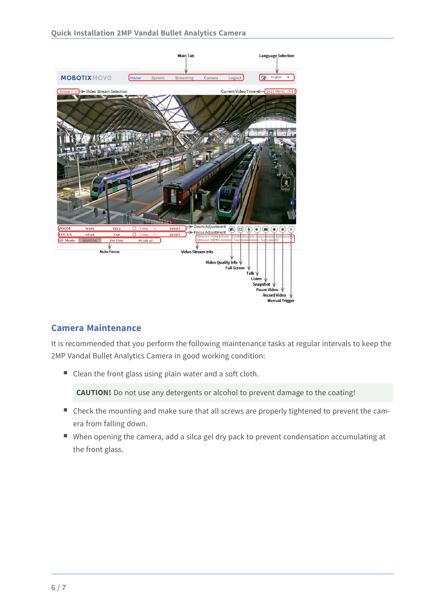

#### **Camera Maintenance**

It is recommended that you perform the following maintenance tasks at regular intervals to keep the 2MP Vandal Bullet Analytics Camera in good working condition:

■ Clean the front glass using plain water and a soft cloth.

**CAUTION!** Do not use any detergents or alcohol to prevent damage to the coating!

- Check the mounting and make sure that all screws are properly tightened to prevent the camera from falling down.
- When opening the camera, add a silca gel dry pack to prevent condensation accumulating at the front glass.